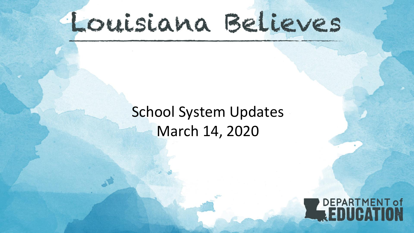## Louisiana Believes

## School System Updates March 14, 2020

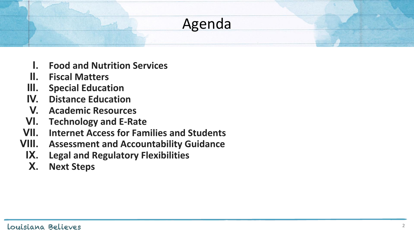# Agenda

- **I. Food and Nutrition Services**
- **II. Fiscal Matters**
- **III. Special Education**
- **IV. Distance Education**
- **V. Academic Resources**
- **VI. Technology and E-Rate**
- **VII. Internet Access for Families and Students**
- **VIII. Assessment and Accountability Guidance**
- **IX. Legal and Regulatory Flexibilities**
- **X. Next Steps**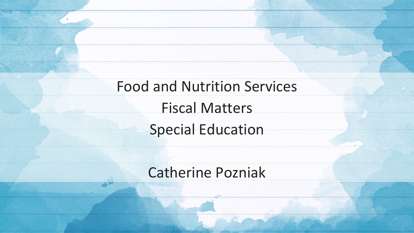Food and Nutrition Services Fiscal Matters Special Education

#### Catherine Pozniak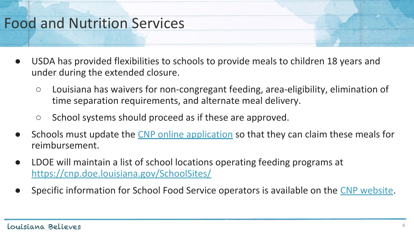## Food and Nutrition Services

- USDA has provided flexibilities to schools to provide meals to children 18 years and under during the extended closure.
	- Louisiana has waivers for non-congregant feeding, area-eligibility, elimination of time separation requirements, and alternate meal delivery.
	- School systems should proceed as if these are approved.
- Schools must update the [CNP online application](https://cnp.doe.louisiana.gov/) so that they can claim these meals for reimbursement.
- LDOE will maintain a list of school locations operating feeding programs at <https://cnp.doe.louisiana.gov/SchoolSites/>
- Specific information for School Food Service operators is available on the [CNP website.](https://cnp.doe.louisiana.gov/)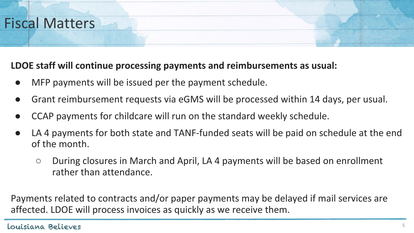## Fiscal Matters

#### **LDOE staff will continue processing payments and reimbursements as usual:**

- MFP payments will be issued per the payment schedule.
- Grant reimbursement requests via eGMS will be processed within 14 days, per usual.
- CCAP payments for childcare will run on the standard weekly schedule.
- LA 4 payments for both state and TANF-funded seats will be paid on schedule at the end of the month.
	- During closures in March and April, LA 4 payments will be based on enrollment rather than attendance.

Payments related to contracts and/or paper payments may be delayed if mail services are affected. LDOE will process invoices as quickly as we receive them.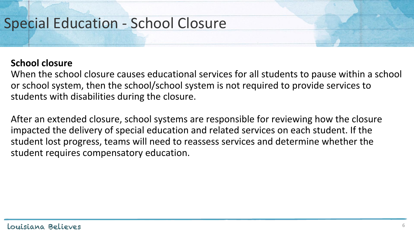## Special Education - School Closure

#### **School closure**

When the school closure causes educational services for all students to pause within a school or school system, then the school/school system is not required to provide services to students with disabilities during the closure.

After an extended closure, school systems are responsible for reviewing how the closure impacted the delivery of special education and related services on each student. If the student lost progress, teams will need to reassess services and determine whether the student requires compensatory education.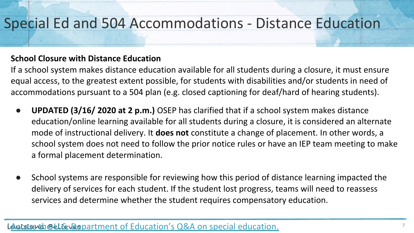#### Special Ed and 504 Accommodations - Distance Education

#### **School Closure with Distance Education**

If a school system makes distance education available for all students during a closure, it must ensure equal access, to the greatest extent possible, for students with disabilities and/or students in need of accommodations pursuant to a 504 plan (e.g. closed captioning for deaf/hard of hearing students).

- **UPDATED (3/16/ 2020 at 2 p.m.)** OSEP has clarified that if a school system makes distance education/online learning available for all students during a closure, it is considered an alternate mode of instructional delivery. It **does not** constitute a change of placement. In other words, a school system does not need to follow the prior notice rules or have an IEP team meeting to make a formal placement determination.
- School systems are responsible for reviewing how this period of distance learning impacted the delivery of services for each student. If the student lost progress, teams will need to reassess services and determine whether the student requires compensatory education.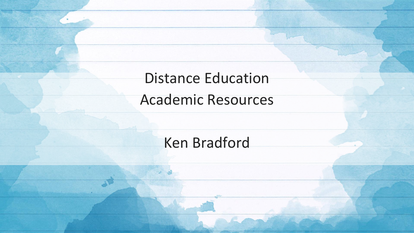Distance Education

Academic Resources

Ken Bradford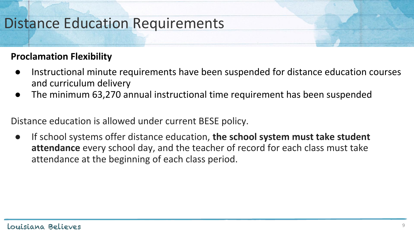## Distance Education Requirements

#### **Proclamation Flexibility**

- Instructional minute requirements have been suspended for distance education courses and curriculum delivery
- The minimum 63,270 annual instructional time requirement has been suspended

Distance education is allowed under current BESE policy.

If school systems offer distance education, **the school system must take student attendance** every school day, and the teacher of record for each class must take attendance at the beginning of each class period.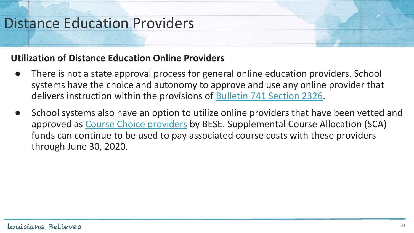## Distance Education Providers

#### **Utilization of Distance Education Online Providers**

- There is not a state approval process for general online education providers. School systems have the choice and autonomy to approve and use any online provider that delivers instruction within the provisions of [Bulletin 741 Section 2326.](http://www.doa.la.gov/osr/lac/28v115/28v115.doc)
- School systems also have an option to utilize online providers that have been vetted and approved as [Course Choice providers](https://www.louisianabelieves.com/courses/supplemental-course-academy) by BESE. Supplemental Course Allocation (SCA) funds can continue to be used to pay associated course costs with these providers through June 30, 2020.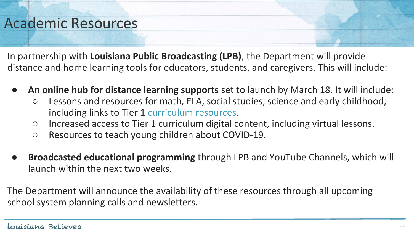#### Academic Resources

In partnership with **Louisiana Public Broadcasting (LPB)**, the Department will provide distance and home learning tools for educators, students, and caregivers. This will include:

- **An online hub for distance learning supports** set to launch by March 18. It will include:
	- Lessons and resources for math, ELA, social studies, science and early childhood, including links to Tier 1 [curriculum resources](https://docs.google.com/document/d/1gArQhJPfeh2eZ0PMscO7KQvvc3l3FqTwNtLk8P63cNw/edit).
	- Increased access to Tier 1 curriculum digital content, including virtual lessons.
	- Resources to teach young children about COVID-19.
- **Broadcasted educational programming** through LPB and YouTube Channels, which will launch within the next two weeks.

The Department will announce the availability of these resources through all upcoming school system planning calls and newsletters.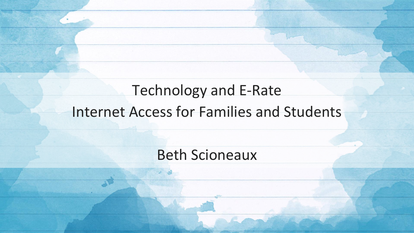## Technology and E-Rate Internet Access for Families and Students

#### Beth Scioneaux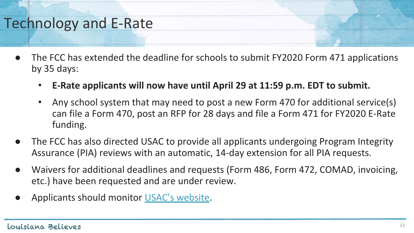## Technology and E-Rate

- The FCC has extended the deadline for schools to submit FY2020 Form 471 applications by 35 days:
	- **E-Rate applicants will now have until April 29 at 11:59 p.m. EDT to submit.**
	- Any school system that may need to post a new Form 470 for additional service(s) can file a Form 470, post an RFP for 28 days and file a Form 471 for FY2020 E-Rate funding.
- The FCC has also directed USAC to provide all applicants undergoing Program Integrity Assurance (PIA) reviews with an automatic, 14-day extension for all PIA requests.
- Waivers for additional deadlines and requests (Form 486, Form 472, COMAD, invoicing, etc.) have been requested and are under review.
- Applicants should monitor [USAC's website](https://www.usac.org/).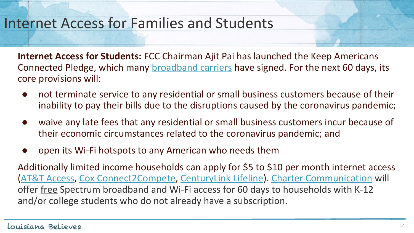#### Internet Access for Families and Students

**Internet Access for Students:** FCC Chairman Ajit Pai has launched the Keep Americans Connected Pledge, which many [broadband carriers](https://urldefense.proofpoint.com/v2/url?u=https-3A__twitter.com_AjitPaiFCC_status_1238492469957976064_photo_1&d=DwMGaQ&c=xlPCXuHzMdaH2Flc1sgyicYpGQbQbU9KDEmgNF3_wI0&r=HyWvuevoEcqC9JPN9UeW65GbgCo5wzVwNkfOtUxXCKc&m=yiniDRi2iUnZlE3nXwRX-ug-eH32g2k-qj5XH3gF6Jo&s=J5ep6pur7qQhgy5bPxK9THojKZB2gpQlsNFRKXkn6Lc&e=) have signed. For the next 60 days, its core provisions will:

- not terminate service to any residential or small business customers because of their inability to pay their bills due to the disruptions caused by the coronavirus pandemic;
- waive any late fees that any residential or small business customers incur because of their economic circumstances related to the coronavirus pandemic; and
- open its Wi-Fi hotspots to any American who needs them

Additionally limited income households can apply for \$5 to \$10 per month internet access [\(AT&T Access](https://m.att.com/shopmobile/internet/access/), [Cox Connect2Compete](https://www.cox.com/residential/internet/connect2compete.html), [CenturyLink Lifeline](https://www.centurylink.com/aboutus/community/community-development/lifeline.html)). [Charter Communication](https://broadbandnow.com/Charter-Communications) will offer free Spectrum broadband and Wi-Fi access for 60 days to households with K-12 and/or college students who do not already have a subscription.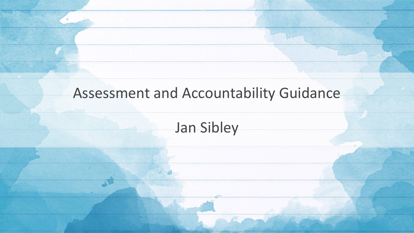#### Assessment and Accountability Guidance

#### Jan Sibley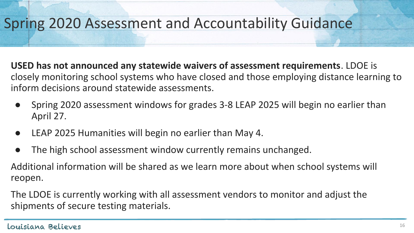## Spring 2020 Assessment and Accountability Guidance

**USED has not announced any statewide waivers of assessment requirements**. LDOE is closely monitoring school systems who have closed and those employing distance learning to inform decisions around statewide assessments.

- Spring 2020 assessment windows for grades 3-8 LEAP 2025 will begin no earlier than April 27.
- LEAP 2025 Humanities will begin no earlier than May 4.
- The high school assessment window currently remains unchanged.

Additional information will be shared as we learn more about when school systems will reopen.

The LDOE is currently working with all assessment vendors to monitor and adjust the shipments of secure testing materials.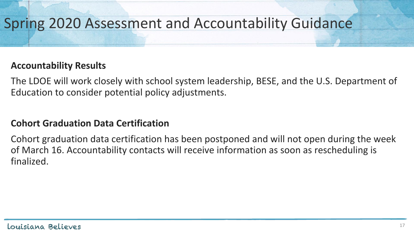## Spring 2020 Assessment and Accountability Guidance

#### **Accountability Results**

The LDOE will work closely with school system leadership, BESE, and the U.S. Department of Education to consider potential policy adjustments.

#### **Cohort Graduation Data Certification**

Cohort graduation data certification has been postponed and will not open during the week of March 16. Accountability contacts will receive information as soon as rescheduling is finalized.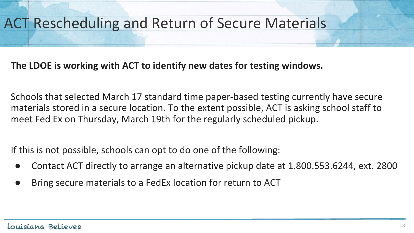## ACT Rescheduling and Return of Secure Materials

#### **The LDOE is working with ACT to identify new dates for testing windows.**

Schools that selected March 17 standard time paper-based testing currently have secure materials stored in a secure location. To the extent possible, ACT is asking school staff to meet Fed Ex on Thursday, March 19th for the regularly scheduled pickup.

If this is not possible, schools can opt to do one of the following:

- Contact ACT directly to arrange an alternative pickup date at 1.800.553.6244, ext. 2800
- Bring secure materials to a FedEx location for return to ACT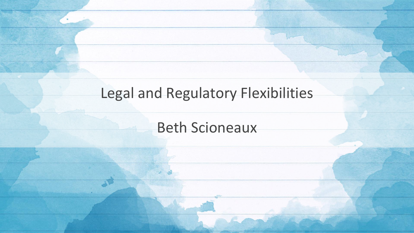#### Legal and Regulatory Flexibilities

Beth Scioneaux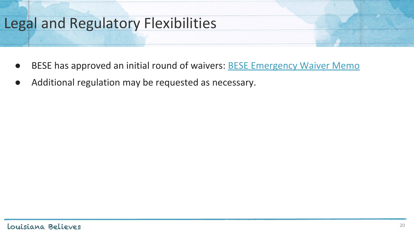#### Legal and Regulatory Flexibilities

- BESE has approved an initial round of waivers: **[BESE Emergency Waiver Memo](https://www.louisianabelieves.com/docs/default-source/louisiana-believes/regulatory-flexibility-state-3-14-20-with-signatures-final6c67fd5b8c9b66d6b292ff0000215f92.pdf?sfvrsn=15fc9b1f_2)**
- Additional regulation may be requested as necessary.